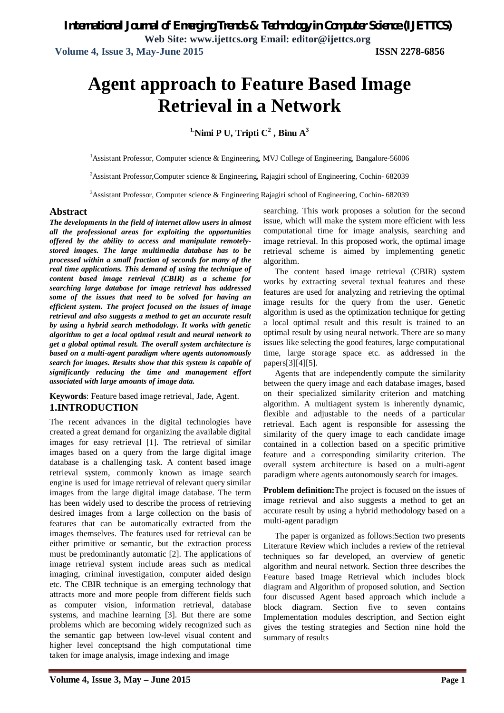**Volume 4, Issue 3, May-June 2015 ISSN 2278-6856**

# **Agent approach to Feature Based Image Retrieval in a Network**

 $^1$ <sup>.</sup>Nimi P U, Tripti  $\text{C}^2$  , Binu  $\text{A}^3$ 

<sup>1</sup>Assistant Professor, Computer science & Engineering, MVJ College of Engineering, Bangalore-56006

<sup>2</sup>Assistant Professor,Computer science & Engineering, Rajagiri school of Engineering, Cochin- 682039

<sup>3</sup>Assistant Professor, Computer science & Engineering Rajagiri school of Engineering, Cochin- 682039

## **Abstract**

*The developments in the field of internet allow users in almost all the professional areas for exploiting the opportunities offered by the ability to access and manipulate remotelystored images. The large multimedia database has to be processed within a small fraction of seconds for many of the real time applications. This demand of using the technique of content based image retrieval (CBIR) as a scheme for searching large database for image retrieval has addressed some of the issues that need to be solved for having an efficient system. The project focused on the issues of image retrieval and also suggests a method to get an accurate result by using a hybrid search methodology. It works with genetic algorithm to get a local optimal result and neural network to get a global optimal result. The overall system architecture is based on a multi-agent paradigm where agents autonomously search for images. Results show that this system is capable of significantly reducing the time and management effort associated with large amounts of image data.*

**Keywords**: Feature based image retrieval, Jade, Agent. **1.INTRODUCTION**

The recent advances in the digital technologies have created a great demand for organizing the available digital images for easy retrieval [1]. The retrieval of similar images based on a query from the large digital image database is a challenging task. A content based image retrieval system, commonly known as image search engine is used for image retrieval of relevant query similar images from the large digital image database. The term has been widely used to describe the process of retrieving desired images from a large collection on the basis of features that can be automatically extracted from the images themselves. The features used for retrieval can be either primitive or semantic, but the extraction process must be predominantly automatic [2]. The applications of image retrieval system include areas such as medical imaging, criminal investigation, computer aided design etc. The CBIR technique is an emerging technology that attracts more and more people from different fields such as computer vision, information retrieval, database systems, and machine learning [3]. But there are some problems which are becoming widely recognized such as the semantic gap between low-level visual content and higher level conceptsand the high computational time taken for image analysis, image indexing and image

searching. This work proposes a solution for the second issue, which will make the system more efficient with less computational time for image analysis, searching and image retrieval. In this proposed work, the optimal image retrieval scheme is aimed by implementing genetic algorithm.

The content based image retrieval (CBIR) system works by extracting several textual features and these features are used for analyzing and retrieving the optimal image results for the query from the user. Genetic algorithm is used as the optimization technique for getting a local optimal result and this result is trained to an optimal result by using neural network. There are so many issues like selecting the good features, large computational time, large storage space etc. as addressed in the papers[3][4][5].

Agents that are independently compute the similarity between the query image and each database images, based on their specialized similarity criterion and matching algorithm. A multiagent system is inherently dynamic, flexible and adjustable to the needs of a particular retrieval. Each agent is responsible for assessing the similarity of the query image to each candidate image contained in a collection based on a specific primitive feature and a corresponding similarity criterion. The overall system architecture is based on a multi-agent paradigm where agents autonomously search for images.

**Problem definition:**The project is focused on the issues of image retrieval and also suggests a method to get an accurate result by using a hybrid methodology based on a multi-agent paradigm

The paper is organized as follows:Section two presents Literature Review which includes a review of the retrieval techniques so far developed, an overview of genetic algorithm and neural network. Section three describes the Feature based Image Retrieval which includes block diagram and Algorithm of proposed solution, and Section four discussed Agent based approach which include a block diagram. Section five to seven contains Implementation modules description, and Section eight gives the testing strategies and Section nine hold the summary of results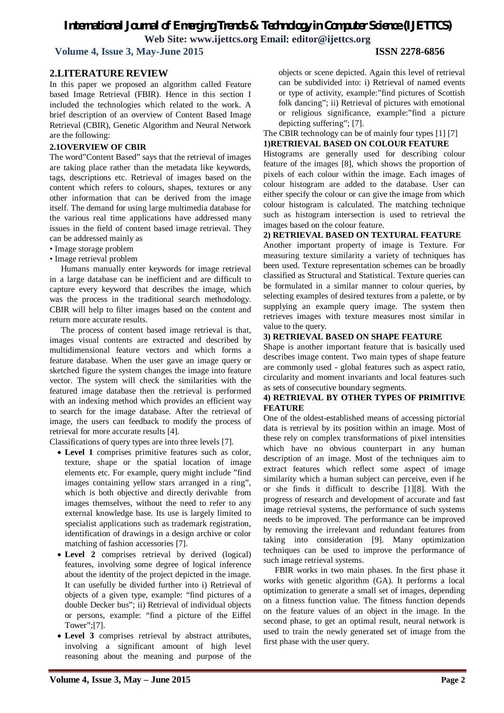# *International Journal of Emerging Trends & Technology in Computer Science (IJETTCS)*

**Web Site: www.ijettcs.org Email: editor@ijettcs.org** 

 **Volume 4, Issue 3, May-June 2015 ISSN 2278-6856**

## **2.LITERATURE REVIEW**

In this paper we proposed an algorithm called Feature based Image Retrieval (FBIR). Hence in this section I included the technologies which related to the work. A brief description of an overview of Content Based Image Retrieval (CBIR), Genetic Algorithm and Neural Network are the following:

## **2.1OVERVIEW OF CBIR**

The word"Content Based" says that the retrieval of images are taking place rather than the metadata like keywords, tags, descriptions etc. Retrieval of images based on the content which refers to colours, shapes, textures or any other information that can be derived from the image itself. The demand for using large multimedia database for the various real time applications have addressed many issues in the field of content based image retrieval. They can be addressed mainly as

- Image storage problem
- Image retrieval problem

Humans manually enter keywords for image retrieval in a large database can be inefficient and are difficult to capture every keyword that describes the image, which was the process in the traditional search methodology. CBIR will help to filter images based on the content and return more accurate results.

The process of content based image retrieval is that, images visual contents are extracted and described by multidimensional feature vectors and which forms a feature database. When the user gave an image query or sketched figure the system changes the image into feature vector. The system will check the similarities with the featured image database then the retrieval is performed with an indexing method which provides an efficient way to search for the image database. After the retrieval of image, the users can feedback to modify the process of retrieval for more accurate results [4].

Classifications of query types are into three levels [7].

- **Level 1** comprises primitive features such as color, texture, shape or the spatial location of image elements etc. For example, query might include "find images containing yellow stars arranged in a ring", which is both objective and directly derivable from images themselves, without the need to refer to any external knowledge base. Its use is largely limited to specialist applications such as trademark registration, identification of drawings in a design archive or color matching of fashion accessories [7].
- **Level 2** comprises retrieval by derived (logical) features, involving some degree of logical inference about the identity of the project depicted in the image. It can usefully be divided further into i) Retrieval of objects of a given type, example: "find pictures of a double Decker bus"; ii) Retrieval of individual objects or persons, example: "find a picture of the Eiffel Tower";[7].
- **Level 3** comprises retrieval by abstract attributes, involving a significant amount of high level reasoning about the meaning and purpose of the

objects or scene depicted. Again this level of retrieval can be subdivided into: i) Retrieval of named events or type of activity, example:"find pictures of Scottish folk dancing"; ii) Retrieval of pictures with emotional or religious significance, example:"find a picture depicting suffering"; [7].

The CBIR technology can be of mainly four types [1] [7] **1)RETRIEVAL BASED ON COLOUR FEATURE**

Histograms are generally used for describing colour feature of the images [8], which shows the proportion of pixels of each colour within the image. Each images of colour histogram are added to the database. User can either specify the colour or can give the image from which colour histogram is calculated. The matching technique such as histogram intersection is used to retrieval the images based on the colour feature.

#### **2) RETRIEVAL BASED ON TEXTURAL FEATURE**

Another important property of image is Texture. For measuring texture similarity a variety of techniques has been used. Texture representation schemes can be broadly classified as Structural and Statistical. Texture queries can be formulated in a similar manner to colour queries, by selecting examples of desired textures from a palette, or by supplying an example query image. The system then retrieves images with texture measures most similar in value to the query.

#### **3) RETRIEVAL BASED ON SHAPE FEATURE**

Shape is another important feature that is basically used describes image content. Two main types of shape feature are commonly used - global features such as aspect ratio, circularity and moment invariants and local features such as sets of consecutive boundary segments.

### **4) RETRIEVAL BY OTHER TYPES OF PRIMITIVE FEATURE**

One of the oldest-established means of accessing pictorial data is retrieval by its position within an image. Most of these rely on complex transformations of pixel intensities which have no obvious counterpart in any human description of an image. Most of the techniques aim to extract features which reflect some aspect of image similarity which a human subject can perceive, even if he or she finds it difficult to describe [1][8]. With the progress of research and development of accurate and fast image retrieval systems, the performance of such systems needs to be improved. The performance can be improved by removing the irrelevant and redundant features from taking into consideration [9]. Many optimization techniques can be used to improve the performance of such image retrieval systems.

FBIR works in two main phases. In the first phase it works with genetic algorithm (GA). It performs a local optimization to generate a small set of images, depending on a fitness function value. The fitness function depends on the feature values of an object in the image. In the second phase, to get an optimal result, neural network is used to train the newly generated set of image from the first phase with the user query.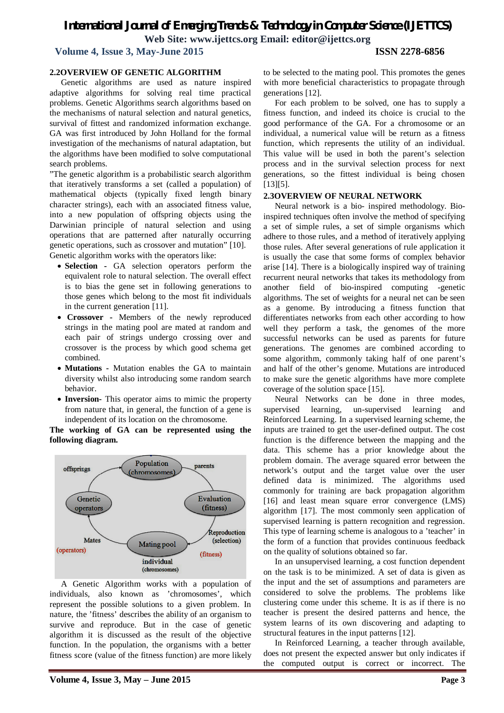**Volume 4, Issue 3, May-June 2015 ISSN 2278-6856**

### **2.2OVERVIEW OF GENETIC ALGORITHM**

Genetic algorithms are used as nature inspired adaptive algorithms for solving real time practical problems. Genetic Algorithms search algorithms based on the mechanisms of natural selection and natural genetics, survival of fittest and randomized information exchange. GA was first introduced by John Holland for the formal investigation of the mechanisms of natural adaptation, but the algorithms have been modified to solve computational search problems.

"The genetic algorithm is a probabilistic search algorithm that iteratively transforms a set (called a population) of mathematical objects (typically fixed length binary character strings), each with an associated fitness value, into a new population of offspring objects using the Darwinian principle of natural selection and using operations that are patterned after naturally occurring genetic operations, such as crossover and mutation" [10]. Genetic algorithm works with the operators like:

- **Selection -** GA selection operators perform the equivalent role to natural selection. The overall effect is to bias the gene set in following generations to those genes which belong to the most fit individuals in the current generation [11].
- **Crossover -** Members of the newly reproduced strings in the mating pool are mated at random and each pair of strings undergo crossing over and crossover is the process by which good schema get combined.
- **Mutations -** Mutation enables the GA to maintain diversity whilst also introducing some random search behavior.
- **Inversion-** This operator aims to mimic the property from nature that, in general, the function of a gene is independent of its location on the chromosome.

**The working of GA can be represented using the following diagram.**



A Genetic Algorithm works with a population of individuals, also known as 'chromosomes', which represent the possible solutions to a given problem. In nature, the 'fitness' describes the ability of an organism to survive and reproduce. But in the case of genetic algorithm it is discussed as the result of the objective function. In the population, the organisms with a better fitness score (value of the fitness function) are more likely

to be selected to the mating pool. This promotes the genes with more beneficial characteristics to propagate through generations [12].

For each problem to be solved, one has to supply a fitness function, and indeed its choice is crucial to the good performance of the GA. For a chromosome or an individual, a numerical value will be return as a fitness function, which represents the utility of an individual. This value will be used in both the parent's selection process and in the survival selection process for next generations, so the fittest individual is being chosen [13][5].

#### **2.3OVERVIEW OF NEURAL NETWORK**

Neural network is a bio- inspired methodology. Bioinspired techniques often involve the method of specifying a set of simple rules, a set of simple organisms which adhere to those rules, and a method of iteratively applying those rules. After several generations of rule application it is usually the case that some forms of complex behavior arise [14]. There is a biologically inspired way of training recurrent neural networks that takes its methodology from another field of bio-inspired computing -genetic algorithms. The set of weights for a neural net can be seen as a genome. By introducing a fitness function that differentiates networks from each other according to how well they perform a task, the genomes of the more successful networks can be used as parents for future generations. The genomes are combined according to some algorithm, commonly taking half of one parent's and half of the other's genome. Mutations are introduced to make sure the genetic algorithms have more complete coverage of the solution space [15].

Neural Networks can be done in three modes, supervised learning, un-supervised learning and Reinforced Learning. In a supervised learning scheme, the inputs are trained to get the user-defined output. The cost function is the difference between the mapping and the data. This scheme has a prior knowledge about the problem domain. The average squared error between the network's output and the target value over the user defined data is minimized. The algorithms used commonly for training are back propagation algorithm [16] and least mean square error convergence (LMS) algorithm [17]. The most commonly seen application of supervised learning is pattern recognition and regression. This type of learning scheme is analogous to a 'teacher' in the form of a function that provides continuous feedback on the quality of solutions obtained so far.

In an unsupervised learning, a cost function dependent on the task is to be minimized. A set of data is given as the input and the set of assumptions and parameters are considered to solve the problems. The problems like clustering come under this scheme. It is as if there is no teacher is present the desired patterns and hence, the system learns of its own discovering and adapting to structural features in the input patterns [12].

In Reinforced Learning, a teacher through available, does not present the expected answer but only indicates if the computed output is correct or incorrect. The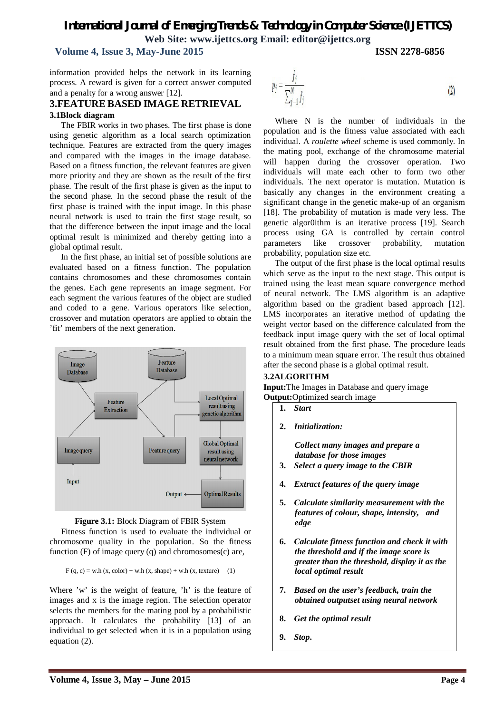**Volume 4, Issue 3, May-June 2015 ISSN 2278-6856**

information provided helps the network in its learning process. A reward is given for a correct answer computed and a penalty for a wrong answer [12].

## **3.FEATURE BASED IMAGE RETRIEVAL**

## **3.1Block diagram**

The FBIR works in two phases. The first phase is done using genetic algorithm as a local search optimization technique. Features are extracted from the query images and compared with the images in the image database. Based on a fitness function, the relevant features are given more priority and they are shown as the result of the first phase. The result of the first phase is given as the input to the second phase. In the second phase the result of the first phase is trained with the input image. In this phase neural network is used to train the first stage result, so that the difference between the input image and the local optimal result is minimized and thereby getting into a global optimal result.

In the first phase, an initial set of possible solutions are evaluated based on a fitness function. The population contains chromosomes and these chromosomes contain the genes. Each gene represents an image segment. For each segment the various features of the object are studied and coded to a gene. Various operators like selection, crossover and mutation operators are applied to obtain the 'fit' members of the next generation.





Fitness function is used to evaluate the individual or chromosome quality in the population. So the fitness function (F) of image query (q) and chromosomes(c) are,

 $F (q, c) = w.h (x, color) + w.h (x, shape) + w.h (x, texture)$  (1)

Where 'w' is the weight of feature, 'h' is the feature of images and x is the image region. The selection operator selects the members for the mating pool by a probabilistic approach. It calculates the probability [13] of an individual to get selected when it is in a population using equation (2).

$$
p_j = \frac{f_j}{\sum_{j=1}^N f_j}
$$
 (2)

Where N is the number of individuals in the population and is the fitness value associated with each individual. A *roulette wheel* scheme is used commonly. In the mating pool, exchange of the chromosome material will happen during the crossover operation. Two individuals will mate each other to form two other individuals. The next operator is mutation. Mutation is basically any changes in the environment creating a significant change in the genetic make-up of an organism [18]. The probability of mutation is made very less. The genetic algor0ithm is an iterative process [19]. Search process using GA is controlled by certain control parameters like crossover probability, mutation probability, population size etc.

The output of the first phase is the local optimal results which serve as the input to the next stage. This output is trained using the least mean square convergence method of neural network. The LMS algorithm is an adaptive algorithm based on the gradient based approach [12]. LMS incorporates an iterative method of updating the weight vector based on the difference calculated from the feedback input image query with the set of local optimal result obtained from the first phase. The procedure leads to a minimum mean square error. The result thus obtained after the second phase is a global optimal result.

### **3.2ALGORITHM**

**Input:**The Images in Database and query image **Output:**Optimized search image

- **1.** *Start*
- **2.** *Initialization:*

*Collect many images and prepare a database for those images*

- **3.** *Select a query image to the CBIR*
- **4.** *Extract features of the query image*
- **5.** *Calculate similarity measurement with the features of colour, shape, intensity, and edge*
- **6.** *Calculate fitness function and check it with the threshold and if the image score is greater than the threshold, display it as the local optimal result*
- **7.** *Based on the user's feedback, train the obtained outputset using neural network*
- **8.** *Get the optimal result*
- **9.** *Stop***.**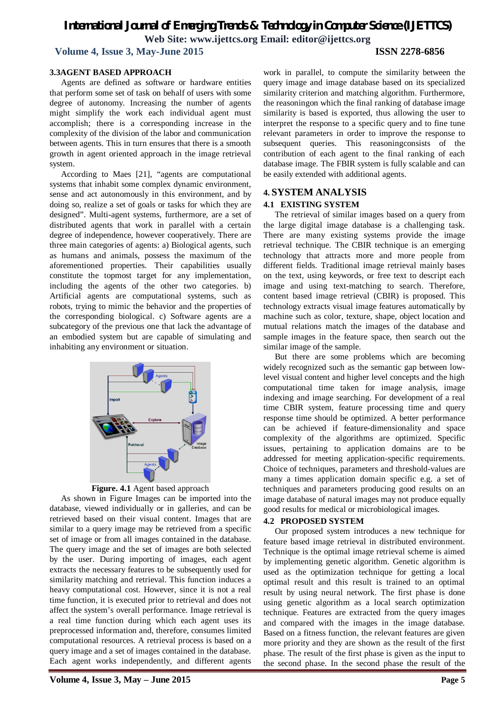**Volume 4, Issue 3, May-June 2015 ISSN 2278-6856**

### **3.3AGENT BASED APPROACH**

Agents are defined as software or hardware entities that perform some set of task on behalf of users with some degree of autonomy. Increasing the number of agents might simplify the work each individual agent must accomplish; there is a corresponding increase in the complexity of the division of the labor and communication between agents. This in turn ensures that there is a smooth growth in agent oriented approach in the image retrieval system.

According to Maes [21], "agents are computational systems that inhabit some complex dynamic environment, sense and act autonomously in this environment, and by doing so, realize a set of goals or tasks for which they are designed". Multi-agent systems, furthermore, are a set of distributed agents that work in parallel with a certain degree of independence, however cooperatively. There are three main categories of agents: a) Biological agents, such as humans and animals, possess the maximum of the aforementioned properties. Their capabilities usually constitute the topmost target for any implementation, including the agents of the other two categories. b) Artificial agents are computational systems, such as robots, trying to mimic the behavior and the properties of the corresponding biological. c) Software agents are a subcategory of the previous one that lack the advantage of an embodied system but are capable of simulating and inhabiting any environment or situation.



**Figure. 4.1** Agent based approach

As shown in Figure Images can be imported into the database, viewed individually or in galleries, and can be retrieved based on their visual content. Images that are similar to a query image may be retrieved from a specific set of image or from all images contained in the database. The query image and the set of images are both selected by the user. During importing of images, each agent extracts the necessary features to be subsequently used for similarity matching and retrieval. This function induces a heavy computational cost. However, since it is not a real time function, it is executed prior to retrieval and does not affect the system's overall performance. Image retrieval is a real time function during which each agent uses its preprocessed information and, therefore, consumes limited computational resources. A retrieval process is based on a query image and a set of images contained in the database. Each agent works independently, and different agents

work in parallel, to compute the similarity between the query image and image database based on its specialized similarity criterion and matching algorithm. Furthermore, the reasoningon which the final ranking of database image similarity is based is exported, thus allowing the user to interpret the response to a specific query and to fine tune relevant parameters in order to improve the response to subsequent queries. This reasoningconsists of the contribution of each agent to the final ranking of each database image. The FBIR system is fully scalable and can be easily extended with additional agents.

## **4. SYSTEM ANALYSIS**

## **4.1 EXISTING SYSTEM**

The retrieval of similar images based on a query from the large digital image database is a challenging task. There are many existing systems provide the image retrieval technique. The CBIR technique is an emerging technology that attracts more and more people from different fields. Traditional image retrieval mainly bases on the text, using keywords, or free text to descript each image and using text-matching to search. Therefore, content based image retrieval (CBIR) is proposed. This technology extracts visual image features automatically by machine such as color, texture, shape, object location and mutual relations match the images of the database and sample images in the feature space, then search out the similar image of the sample.

But there are some problems which are becoming widely recognized such as the semantic gap between lowlevel visual content and higher level concepts and the high computational time taken for image analysis, image indexing and image searching. For development of a real time CBIR system, feature processing time and query response time should be optimized. A better performance can be achieved if feature-dimensionality and space complexity of the algorithms are optimized. Specific issues, pertaining to application domains are to be addressed for meeting application-specific requirements. Choice of techniques, parameters and threshold-values are many a times application domain specific e.g. a set of techniques and parameters producing good results on an image database of natural images may not produce equally good results for medical or microbiological images.

## **4.2 PROPOSED SYSTEM**

Our proposed system introduces a new technique for feature based image retrieval in distributed environment. Technique is the optimal image retrieval scheme is aimed by implementing genetic algorithm. Genetic algorithm is used as the optimization technique for getting a local optimal result and this result is trained to an optimal result by using neural network. The first phase is done using genetic algorithm as a local search optimization technique. Features are extracted from the query images and compared with the images in the image database. Based on a fitness function, the relevant features are given more priority and they are shown as the result of the first phase. The result of the first phase is given as the input to the second phase. In the second phase the result of the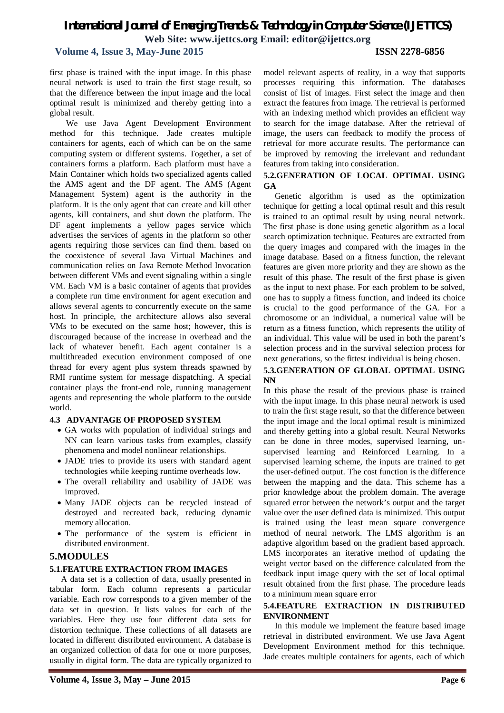**Volume 4, Issue 3, May-June 2015 ISSN 2278-6856**

first phase is trained with the input image. In this phase neural network is used to train the first stage result, so that the difference between the input image and the local optimal result is minimized and thereby getting into a global result.

We use Java Agent Development Environment method for this technique. Jade creates multiple containers for agents, each of which can be on the same computing system or different systems. Together, a set of containers forms a platform. Each platform must have a Main Container which holds two specialized agents called the AMS agent and the DF agent. The AMS (Agent Management System) agent is the authority in the platform. It is the only agent that can create and kill other agents, kill containers, and shut down the platform. The DF agent implements a yellow pages service which advertises the services of agents in the platform so other agents requiring those services can find them. based on the coexistence of several Java Virtual Machines and communication relies on Java Remote Method Invocation between different VMs and event signaling within a single VM. Each VM is a basic container of agents that provides a complete run time environment for agent execution and allows several agents to concurrently execute on the same host. In principle, the architecture allows also several VMs to be executed on the same host; however, this is discouraged because of the increase in overhead and the lack of whatever benefit. Each agent container is a multithreaded execution environment composed of one thread for every agent plus system threads spawned by RMI runtime system for message dispatching. A special container plays the front-end role, running management agents and representing the whole platform to the outside world.

### **4.3 ADVANTAGE OF PROPOSED SYSTEM**

- GA works with population of individual strings and NN can learn various tasks from examples, classify phenomena and model nonlinear relationships.
- JADE tries to provide its users with standard agent technologies while keeping runtime overheads low.
- The overall reliability and usability of JADE was improved.
- Many JADE objects can be recycled instead of destroyed and recreated back, reducing dynamic memory allocation.
- The performance of the system is efficient in distributed environment.

## **5.MODULES**

### **5.1.FEATURE EXTRACTION FROM IMAGES**

A data set is a collection of data, usually presented in tabular form. Each column represents a particular variable. Each row corresponds to a given member of the data set in question. It lists values for each of the variables. Here they use four different data sets for distortion technique. These collections of all datasets are located in different distributed environment. A database is an organized collection of data for one or more purposes, usually in digital form. The data are typically organized to

model relevant aspects of reality, in a way that supports processes requiring this information. The databases consist of list of images. First select the image and then extract the features from image. The retrieval is performed with an indexing method which provides an efficient way to search for the image database. After the retrieval of image, the users can feedback to modify the process of retrieval for more accurate results. The performance can be improved by removing the irrelevant and redundant features from taking into consideration.

## **5.2.GENERATION OF LOCAL OPTIMAL USING GA**

Genetic algorithm is used as the optimization technique for getting a local optimal result and this result is trained to an optimal result by using neural network. The first phase is done using genetic algorithm as a local search optimization technique. Features are extracted from the query images and compared with the images in the image database. Based on a fitness function, the relevant features are given more priority and they are shown as the result of this phase. The result of the first phase is given as the input to next phase. For each problem to be solved, one has to supply a fitness function, and indeed its choice is crucial to the good performance of the GA. For a chromosome or an individual, a numerical value will be return as a fitness function, which represents the utility of an individual. This value will be used in both the parent's selection process and in the survival selection process for next generations, so the fittest individual is being chosen.

## **5.3.GENERATION OF GLOBAL OPTIMAL USING NN**

In this phase the result of the previous phase is trained with the input image. In this phase neural network is used to train the first stage result, so that the difference between the input image and the local optimal result is minimized and thereby getting into a global result. Neural Networks can be done in three modes, supervised learning, unsupervised learning and Reinforced Learning. In a supervised learning scheme, the inputs are trained to get the user-defined output. The cost function is the difference between the mapping and the data. This scheme has a prior knowledge about the problem domain. The average squared error between the network's output and the target value over the user defined data is minimized. This output is trained using the least mean square convergence method of neural network. The LMS algorithm is an adaptive algorithm based on the gradient based approach. LMS incorporates an iterative method of updating the weight vector based on the difference calculated from the feedback input image query with the set of local optimal result obtained from the first phase. The procedure leads to a minimum mean square error

## **5.4.FEATURE EXTRACTION IN DISTRIBUTED ENVIRONMENT**

In this module we implement the feature based image retrieval in distributed environment. We use Java Agent Development Environment method for this technique. Jade creates multiple containers for agents, each of which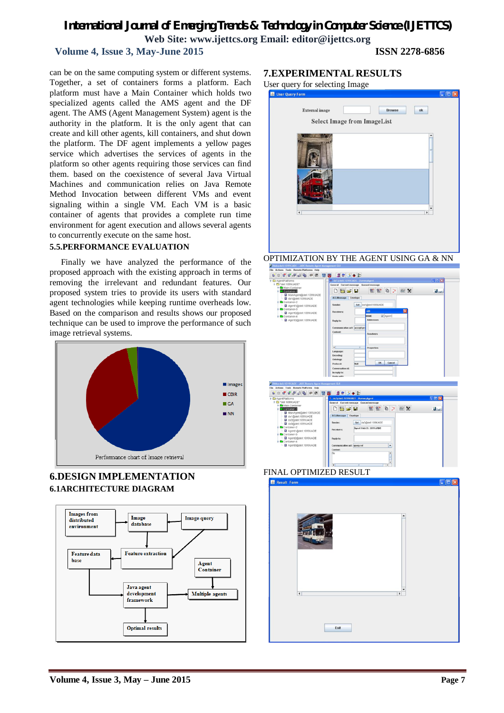## **Volume 4, Issue 3, May-June 2015 ISSN 2278-6856**

can be on the same computing system or different systems. Together, a set of containers forms a platform. Each platform must have a Main Container which holds two specialized agents called the AMS agent and the DF agent. The AMS (Agent Management System) agent is the authority in the platform. It is the only agent that can create and kill other agents, kill containers, and shut down the platform. The DF agent implements a yellow pages service which advertises the services of agents in the platform so other agents requiring those services can find them. based on the coexistence of several Java Virtual Machines and communication relies on Java Remote Method Invocation between different VMs and event signaling within a single VM. Each VM is a basic container of agents that provides a complete run time environment for agent execution and allows several agents to concurrently execute on the same host.

## **5.5.PERFORMANCE EVALUATION**

Finally we have analyzed the performance of the proposed approach with the existing approach in terms of removing the irrelevant and redundant features. Our proposed system tries to provide its users with standard agent technologies while keeping runtime overheads low. Based on the comparison and results shows our proposed technique can be used to improve the performance of such image retrieval systems.



## **6.DESIGN IMPLEMENTATION 6.1ARCHITECTURE DIAGRAM**



## **7.EXPERIMENTAL RESULTS**



OPTIMIZATION BY THE AGENT USING GA & NN

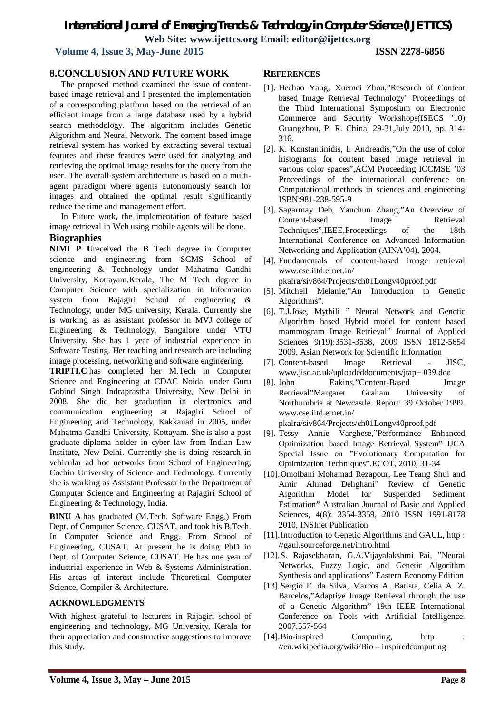**Volume 4, Issue 3, May-June 2015 ISSN 2278-6856**

## **8.CONCLUSION AND FUTURE WORK**

The proposed method examined the issue of contentbased image retrieval and I presented the implementation of a corresponding platform based on the retrieval of an efficient image from a large database used by a hybrid search methodology. The algorithm includes Genetic Algorithm and Neural Network. The content based image retrieval system has worked by extracting several textual features and these features were used for analyzing and retrieving the optimal image results for the query from the user. The overall system architecture is based on a multiagent paradigm where agents autonomously search for images and obtained the optimal result significantly reduce the time and management effort.

In Future work, the implementation of feature based image retrieval in Web using mobile agents will be done.

## **Biographies**

**NIMI P U**received the B Tech degree in Computer science and engineering from SCMS School of engineering & Technology under Mahatma Gandhi University, Kottayam,Kerala, The M Tech degree in Computer Science with specialization in Information system from Rajagiri School of engineering & Technology, under MG university, Kerala. Currently she is working as as assistant professor in MVJ college of Engineering & Technology, Bangalore under VTU University. She has 1 year of industrial experience in Software Testing. Her teaching and research are including image processing, networking and software engineering.

**TRIPTI.C** has completed her M.Tech in Computer Science and Engineering at CDAC Noida, under Guru Gobind Singh Indraprastha University, New Delhi in 2008. She did her graduation in electronics and communication engineering at Rajagiri School of Engineering and Technology, Kakkanad in 2005, under Mahatma Gandhi University, Kottayam. She is also a post graduate diploma holder in cyber law from Indian Law Institute, New Delhi. Currently she is doing research in vehicular ad hoc networks from School of Engineering, Cochin University of Science and Technology. Currently she is working as Assistant Professor in the Department of Computer Science and Engineering at Rajagiri School of Engineering & Technology, India.

**BINU A** has graduated (M.Tech. Software Engg.) From Dept. of Computer Science, CUSAT, and took his B.Tech. In Computer Science and Engg. From School of Engineering, CUSAT. At present he is doing PhD in Dept. of Computer Science, CUSAT. He has one year of industrial experience in Web & Systems Administration. His areas of interest include Theoretical Computer Science, Compiler & Architecture.

### **ACKNOWLEDGMENTS**

With highest grateful to lecturers in Rajagiri school of engineering and technology, MG University, Kerala for their appreciation and constructive suggestions to improve this study.

## **REFERENCES**

- [1]. Hechao Yang, Xuemei Zhou,"Research of Content based Image Retrieval Technology" Proceedings of the Third International Symposium on Electronic Commerce and Security Workshops(ISECS '10) Guangzhou, P. R. China, 29-31,July 2010, pp. 314- 316.
- [2]. K. Konstantinidis, I. Andreadis,"On the use of color histograms for content based image retrieval in various color spaces",ACM Proceeding ICCMSE '03 Proceedings of the international conference on Computational methods in sciences and engineering ISBN:981-238-595-9
- [3]. Sagarmay Deb, Yanchun Zhang,"An Overview of Content-based Image Retrieval Techniques",IEEE,Proceedings of the 18th International Conference on Advanced Information Networking and Application (AINA'04), 2004.
- [4]. Fundamentals of content-based image retrieval www.cse.iitd.ernet.in/
	- pkalra/siv864/Projects/ch01Longv40proof.pdf
- [5]. Mitchell Melanie,"An Introduction to Genetic Algorithms".
- [6]. T.J.Jose, Mythili " Neural Network and Genetic Algorithm based Hybrid model for content based mammogram Image Retrieval" Journal of Applied Sciences 9(19):3531-3538, 2009 ISSN 1812-5654 2009, Asian Network for Scientific Information
- [7]. Content-based Image Retrieval JISC, www.jisc.ac.uk/uploadeddocuments/jtap− 039.doc
- [8]. John Eakins,"Content-Based Image Retrieval"Margaret Graham University of Northumbria at Newcastle. Report: 39 October 1999. www.cse.iitd.ernet.in/

pkalra/siv864/Projects/ch01Longv40proof.pdf

- [9]. Tessy Annie Varghese,"Performance Enhanced Optimization based Image Retrieval System" IJCA Special Issue on "Evolutionary Computation for Optimization Techniques".ECOT, 2010, 31-34
- [10].Omolbani Mohamad Rezapour, Lee Teang Shui and Amir Ahmad Dehghani" Review of Genetic Algorithm Model for Suspended Sediment Estimation" Australian Journal of Basic and Applied Sciences, 4(8): 3354-3359, 2010 ISSN 1991-8178 2010, INSInet Publication
- [11]. Introduction to Genetic Algorithms and GAUL, http: //gaul.sourceforge.net/intro.html
- [12].S. Rajasekharan, G.A.Vijayalakshmi Pai, "Neural Networks, Fuzzy Logic, and Genetic Algorithm Synthesis and applications" Eastern Economy Edition
- [13].Sergio F. da Silva, Marcos A. Batista, Celia A. Z. Barcelos,"Adaptive Image Retrieval through the use of a Genetic Algorithm" 19th IEEE International Conference on Tools with Artificial Intelligence. 2007,557-564
- [14]. Bio-inspired Computing, http //en.wikipedia.org/wiki/Bio – inspiredcomputing